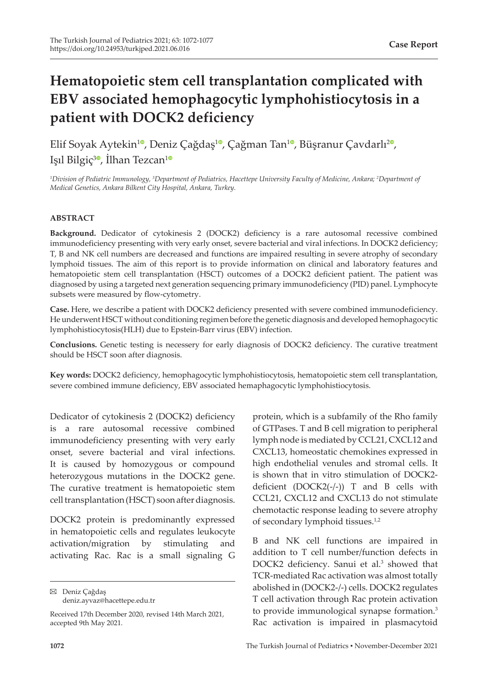# **Hematopoietic stem cell transplantation complicated with EBV associated hemophagocytic lymphohistiocytosis in a patient with DOCK2 deficiency**

Elif Soyak Aytekin<sup>10</sup>[,](https://orcid.org/0000-0002-2329-7543) Deniz Çağdaş<sup>[1](https://orcid.org/0000-0001-6972-1349)0</sup>, Çağman Tan<sup>10</sup>, Büşranur Çavdarlı<sup>[2](https://orcid.org/0000-0002-0953-6210)0</sup>, Isil Bilgiç<sup>30</sup>[,](https://orcid.org/0000-0001-9598-5989) İlhan Tezcan<sup>[1](https://orcid.org/0000-0001-7257-4554)0</sup>

*1 Division of Pediatric Immunology, 3 Department of Pediatrics, Hacettepe University Faculty of Medicine, Ankara; 2 Department of Medical Genetics, Ankara Bilkent City Hospital, Ankara, Turkey.*

## **ABSTRACT**

**Background.** Dedicator of cytokinesis 2 (DOCK2) deficiency is a rare autosomal recessive combined immunodeficiency presenting with very early onset, severe bacterial and viral infections. In DOCK2 deficiency; T, B and NK cell numbers are decreased and functions are impaired resulting in severe atrophy of secondary lymphoid tissues. The aim of this report is to provide information on clinical and laboratory features and hematopoietic stem cell transplantation (HSCT) outcomes of a DOCK2 deficient patient. The patient was diagnosed by using a targeted next generation sequencing primary immunodeficiency (PID) panel. Lymphocyte subsets were measured by flow-cytometry.

**Case.** Here, we describe a patient with DOCK2 deficiency presented with severe combined immunodeficiency. He underwent HSCT without conditioning regimen before the genetic diagnosis and developed hemophagocytic lymphohistiocytosis(HLH) due to Epstein-Barr virus (EBV) infection.

**Conclusions.** Genetic testing is necessery for early diagnosis of DOCK2 deficiency. The curative treatment should be HSCT soon after diagnosis.

**Key words:** DOCK2 deficiency, hemophagocytic lymphohistiocytosis, hematopoietic stem cell transplantation, severe combined immune deficiency, EBV associated hemaphagocytic lymphohistiocytosis.

Dedicator of cytokinesis 2 (DOCK2) deficiency is a rare autosomal recessive combined immunodeficiency presenting with very early onset, severe bacterial and viral infections. It is caused by homozygous or compound heterozygous mutations in the DOCK2 gene. The curative treatment is hematopoietic stem cell transplantation (HSCT) soon after diagnosis.

DOCK2 protein is predominantly expressed in hematopoietic cells and regulates leukocyte activation/migration by stimulating and activating Rac. Rac is a small signaling G

Deniz Çağdaş deniz.ayvaz@hacettepe.edu.tr

protein, which is a subfamily of the Rho family of GTPases. T and B cell migration to peripheral lymph node is mediated by CCL21, CXCL12 and CXCL13, homeostatic chemokines expressed in high endothelial venules and stromal cells. It is shown that in vitro stimulation of DOCK2 deficient  $(DOCK2(-/-))$  T and B cells with CCL21, CXCL12 and CXCL13 do not stimulate chemotactic response leading to severe atrophy of secondary lymphoid tissues.<sup>1,2</sup>

B and NK cell functions are impaired in addition to T cell number/function defects in DOCK2 deficiency. Sanui et al.<sup>3</sup> showed that TCR-mediated Rac activation was almost totally abolished in (DOCK2-/-) cells. DOCK2 regulates T cell activation through Rac protein activation to provide immunological synapse formation.<sup>3</sup> Rac activation is impaired in plasmacytoid

Received 17th December 2020, revised 14th March 2021, accepted 9th May 2021.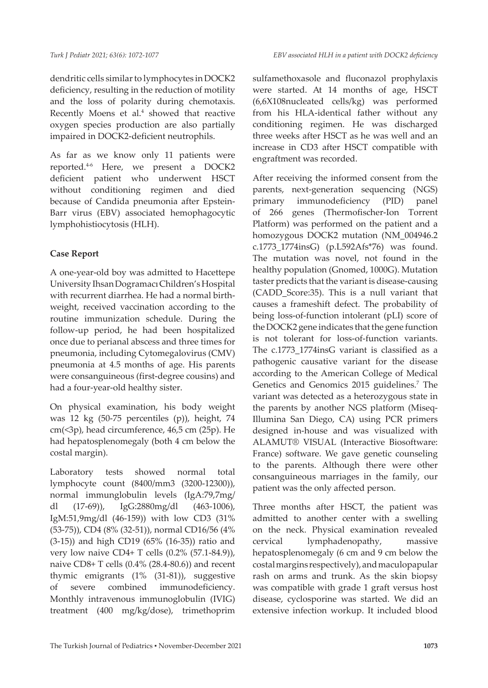dendritic cells similar to lymphocytes in DOCK2 deficiency, resulting in the reduction of motility and the loss of polarity during chemotaxis. Recently Moens et al.<sup>4</sup> showed that reactive oxygen species production are also partially impaired in DOCK2-deficient neutrophils.

As far as we know only 11 patients were reported.4-6 Here, we present a DOCK2 deficient patient who underwent HSCT without conditioning regimen and died because of Candida pneumonia after Epstein-Barr virus (EBV) associated hemophagocytic lymphohistiocytosis (HLH).

# **Case Report**

A one-year-old boy was admitted to Hacettepe University Ihsan Dogramacı Children's Hospital with recurrent diarrhea. He had a normal birthweight, received vaccination according to the routine immunization schedule. During the follow-up period, he had been hospitalized once due to perianal abscess and three times for pneumonia, including Cytomegalovirus (CMV) pneumonia at 4.5 months of age. His parents were consanguineous (first-degree cousins) and had a four-year-old healthy sister.

On physical examination, his body weight was 12 kg (50-75 percentiles (p)), height, 74 cm(<3p), head circumference, 46,5 cm (25p). He had hepatosplenomegaly (both 4 cm below the costal margin).

Laboratory tests showed normal total lymphocyte count (8400/mm3 (3200-12300)), normal immunglobulin levels (IgA:79,7mg/ dl (17-69)), IgG:2880mg/dl (463-1006), IgM:51,9mg/dl (46-159)) with low CD3 (31% (53-75)), CD4 (8% (32-51)), normal CD16/56 (4% (3-15)) and high CD19 (65% (16-35)) ratio and very low naive CD4+ T cells (0.2% (57.1-84.9)), naive CD8+ T cells (0.4% (28.4-80.6)) and recent thymic emigrants (1% (31-81)), suggestive of severe combined immunodeficiency. Monthly intravenous immunoglobulin (IVIG) treatment (400 mg/kg/dose), trimethoprim

sulfamethoxasole and fluconazol prophylaxis were started. At 14 months of age, HSCT (6,6X108nucleated cells/kg) was performed from his HLA-identical father without any conditioning regimen. He was discharged three weeks after HSCT as he was well and an increase in CD3 after HSCT compatible with engraftment was recorded.

After receiving the informed consent from the parents, next-generation sequencing (NGS) primary immunodeficiency (PID) panel of 266 genes (Thermofischer-Ion Torrent Platform) was performed on the patient and a homozygous DOCK2 mutation (NM\_004946.2 c.1773\_1774insG) (p.L592Afs\*76) was found. The mutation was novel, not found in the healthy population (Gnomed, 1000G). Mutation taster predicts that the variant is disease-causing (CADD\_Score:35). This is a null variant that causes a frameshift defect. The probability of being loss-of-function intolerant (pLI) score of the DOCK2 gene indicates that the gene function is not tolerant for loss-of-function variants. The c.1773\_1774insG variant is classified as a pathogenic causative variant for the disease according to the American College of Medical Genetics and Genomics 2015 guidelines.<sup>7</sup> The variant was detected as a heterozygous state in the parents by another NGS platform (Miseq-Illumina San Diego, CA) using PCR primers designed in-house and was visualized with ALAMUT® VISUAL (Interactive Biosoftware: France) software. We gave genetic counseling to the parents. Although there were other consanguineous marriages in the family, our patient was the only affected person.

Three months after HSCT, the patient was admitted to another center with a swelling on the neck. Physical examination revealed cervical lymphadenopathy, massive hepatosplenomegaly (6 cm and 9 cm below the costal margins respectively), and maculopapular rash on arms and trunk. As the skin biopsy was compatible with grade 1 graft versus host disease, cyclosporine was started. We did an extensive infection workup. It included blood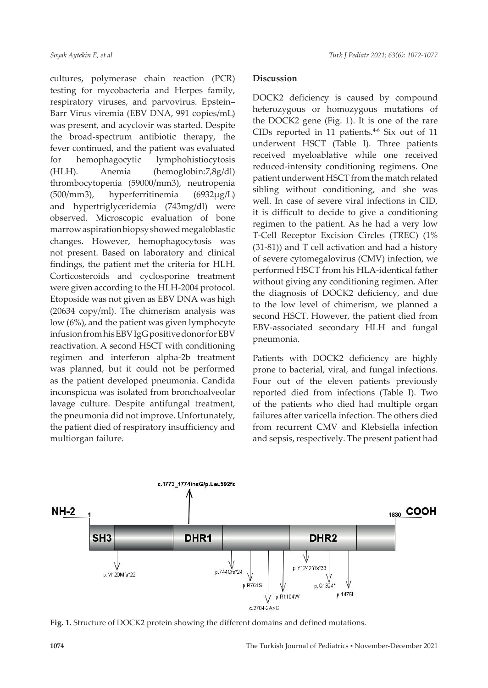cultures, polymerase chain reaction (PCR) testing for mycobacteria and Herpes family, respiratory viruses, and parvovirus. Epstein– Barr Virus viremia (EBV DNA, 991 copies/mL) was present, and acyclovir was started. Despite the broad-spectrum antibiotic therapy, the fever continued, and the patient was evaluated for hemophagocytic lymphohistiocytosis (HLH). Anemia (hemoglobin:7,8g/dl) thrombocytopenia (59000/mm3), neutropenia (500/mm3), hyperferritinemia (6932µg/L) and hypertriglyceridemia (743mg/dl) were observed. Microscopic evaluation of bone marrow aspiration biopsy showed megaloblastic changes. However, hemophagocytosis was not present. Based on laboratory and clinical findings, the patient met the criteria for HLH. Corticosteroids and cyclosporine treatment were given according to the HLH-2004 protocol. Etoposide was not given as EBV DNA was high (20634 copy/ml). The chimerism analysis was low (6%), and the patient was given lymphocyte infusion from his EBV IgG positive donor for EBV reactivation. A second HSCT with conditioning regimen and interferon alpha-2b treatment was planned, but it could not be performed as the patient developed pneumonia. Candida inconspicua was isolated from bronchoalveolar lavage culture. Despite antifungal treatment, the pneumonia did not improve. Unfortunately, the patient died of respiratory insufficiency and multiorgan failure.

## **Discussion**

DOCK2 deficiency is caused by compound heterozygous or homozygous mutations of the DOCK2 gene (Fig. 1). It is one of the rare CIDs reported in 11 patients. $4-6$  Six out of 11 underwent HSCT (Table I). Three patients received myeloablative while one received reduced-intensity conditioning regimens. One patient underwent HSCT from the match related sibling without conditioning, and she was well. In case of severe viral infections in CID, it is difficult to decide to give a conditioning regimen to the patient. As he had a very low T-Cell Receptor Excision Circles (TREC) (1% (31-81)) and T cell activation and had a history of severe cytomegalovirus (CMV) infection, we performed HSCT from his HLA-identical father without giving any conditioning regimen. After the diagnosis of DOCK2 deficiency, and due to the low level of chimerism, we planned a second HSCT. However, the patient died from EBV-associated secondary HLH and fungal pneumonia.

Patients with DOCK2 deficiency are highly prone to bacterial, viral, and fungal infections. Four out of the eleven patients previously reported died from infections (Table I). Two of the patients who died had multiple organ failures after varicella infection. The others died from recurrent CMV and Klebsiella infection and sepsis, respectively. The present patient had



**Fig. 1.** Structure of DOCK2 protein showing the different domains and defined mutations.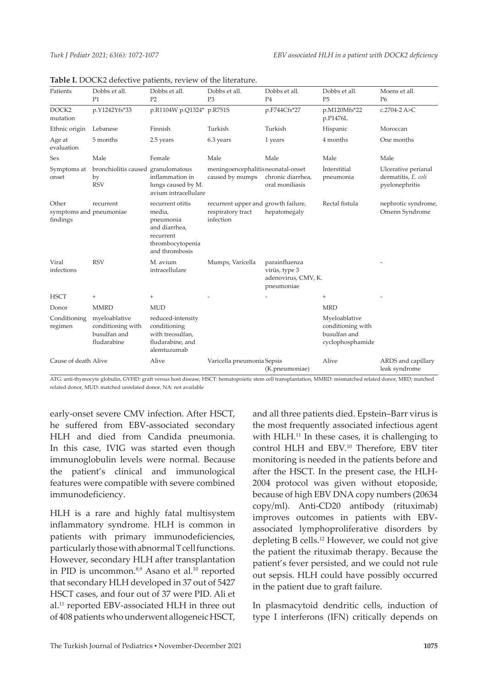| Patients                                     | Dobbs et all.<br>P1                                               | Dobbs et all.<br>P <sub>2</sub>                                                                              | Dobbs et all.<br>P <sub>3</sub>                                       | Dobbs et all.<br>P <sub>4</sub>                                     | Dobbs et all.<br><b>P5</b>                                             | Moens et all.<br>P <sub>6</sub>                              |
|----------------------------------------------|-------------------------------------------------------------------|--------------------------------------------------------------------------------------------------------------|-----------------------------------------------------------------------|---------------------------------------------------------------------|------------------------------------------------------------------------|--------------------------------------------------------------|
| DOCK <sub>2</sub><br>mutation                | p.Y1242Yfs*33                                                     | p.R1104W p.Q1324* p.R751S                                                                                    |                                                                       | p.F744Cfs*27                                                        | p.M120Mfs*22<br>p.P1476L                                               | c.2704-2 A>C                                                 |
| Ethnic origin                                | Lebanese                                                          | Finnish                                                                                                      | Turkish                                                               | Turkish                                                             | Hispanic                                                               | Moroccan                                                     |
| Age at<br>evaluation                         | 5 months                                                          | 2.5 years                                                                                                    | 6.3 years                                                             | 1 years                                                             | 4 months                                                               | One months                                                   |
| Sex                                          | Male                                                              | Female                                                                                                       | Male                                                                  | Male                                                                | Male                                                                   | Male                                                         |
| Symptoms at<br>onset                         | bronchiolitis caused granulomatous<br>by<br><b>RSV</b>            | inflammation in<br>lungs caused by M.<br>avium intracellulare                                                | meningoencephalitis neonatal-onset<br>caused by mumps                 | chronic diarrhea,<br>oral moniliasis                                | <b>Interstitial</b><br>pneumonia                                       | Ulcerative perianal<br>dermatitis, E. coli<br>pyelonephritis |
| Other<br>symptoms and pneumoniae<br>findings | recurrent                                                         | recurrent offitis<br>media,<br>pneumonia<br>and diarrhea,<br>recurrent<br>thrombocytopenia<br>and thrombosis | recurrent upper and growth failure,<br>respiratory tract<br>infection | hepatomegaly                                                        | Rectal fistula                                                         | nephrotic syndrome,<br>Omenn Syndrome                        |
| Viral<br>infections                          | <b>RSV</b>                                                        | M. avium<br>intracellulare                                                                                   | Mumps, Varicella                                                      | parainfluenza<br>virüs, type 3<br>adenovirus, CMV, K.<br>pneumoniae |                                                                        |                                                              |
| <b>HSCT</b>                                  | $^{+}$                                                            | $+$                                                                                                          |                                                                       |                                                                     | $^{+}$                                                                 |                                                              |
| Donor                                        | <b>MMRD</b>                                                       | <b>MUD</b>                                                                                                   |                                                                       |                                                                     | <b>MRD</b>                                                             |                                                              |
| Conditioning<br>regimen                      | myeloablative<br>conditioning with<br>busulfan and<br>fludarabine | reduced-intensity<br>conditioning<br>with treosulfan,<br>fludarabine, and<br>alemtuzumab                     |                                                                       |                                                                     | Myeloablative<br>conditioning with<br>busulfan and<br>cyclophosphamide |                                                              |
| Cause of death Alive                         |                                                                   | Alive                                                                                                        | Varicella pneumonia Sepsis                                            | (K.pneumoniae)                                                      | Alive                                                                  | ARDS and capillary<br>leak syndrome                          |

|  |  |  |  |  |  |  | <b>Table I.</b> DOCK2 defective patients, review of the literature. |
|--|--|--|--|--|--|--|---------------------------------------------------------------------|
|--|--|--|--|--|--|--|---------------------------------------------------------------------|

ATG: anti-thymocyte globulin, GVHD: graft versus host disease, HSCT: hematopoietic stem cell transplantation, MMRD: mismatched related donor, MRD; matched related donor, MUD: matched unrelated donor, NA: not available

early-onset severe CMV infection. After HSCT, he suffered from EBV-associated secondary HLH and died from Candida pneumonia. In this case, IVIG was started even though immunoglobulin levels were normal. Because the patient's clinical and immunological features were compatible with severe combined immunodeficiency.

HLH is a rare and highly fatal multisystem inflammatory syndrome. HLH is common in patients with primary immunodeficiencies, particularly those with abnormal T cell functions. However, secondary HLH after transplantation in PID is uncommon.<sup>8,9</sup> Asano et al.<sup>10</sup> reported that secondary HLH developed in 37 out of 5427 HSCT cases, and four out of 37 were PID. Ali et al.11 reported EBV-associated HLH in three out of 408 patients who underwent allogeneic HSCT,

and all three patients died. Epstein–Barr virus is the most frequently associated infectious agent with HLH.<sup>11</sup> In these cases, it is challenging to control HLH and EBV.10 Therefore, EBV titer monitoring is needed in the patients before and after the HSCT. In the present case, the HLH-2004 protocol was given without etoposide, because of high EBV DNA copy numbers (20634 copy/ml). Anti-CD20 antibody (rituximab) improves outcomes in patients with EBVassociated lymphoproliferative disorders by depleting B cells.<sup>12</sup> However, we could not give the patient the rituximab therapy. Because the patient's fever persisted, and we could not rule out sepsis. HLH could have possibly occurred in the patient due to graft failure.

In plasmacytoid dendritic cells, induction of type I interferons (IFN) critically depends on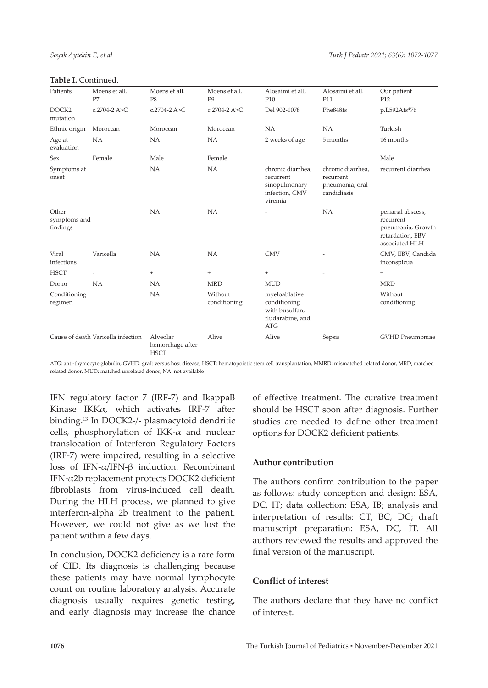|  |  | Table I. Continued. |
|--|--|---------------------|
|--|--|---------------------|

| Patients                          | Moens et all.<br>P7                | Moens et all.<br>P8                         | Moens et all.<br>P <sub>9</sub> | Alosaimi et all.<br>P <sub>10</sub>                                          | Alosaimi et all.<br>P11                                          | Our patient<br>P <sub>12</sub>                                                            |
|-----------------------------------|------------------------------------|---------------------------------------------|---------------------------------|------------------------------------------------------------------------------|------------------------------------------------------------------|-------------------------------------------------------------------------------------------|
| DOCK <sub>2</sub><br>mutation     | c.2704-2 A>C                       | c.2704-2 A>C                                | c.2704-2 A>C                    | Del 902-1078                                                                 | Phe848fs                                                         | p.L592Afs*76                                                                              |
| Ethnic origin                     | Moroccan                           | Moroccan                                    | Moroccan                        | <b>NA</b>                                                                    | <b>NA</b>                                                        | Turkish                                                                                   |
| Age at<br>evaluation              | NA                                 | <b>NA</b>                                   | NA                              | 2 weeks of age                                                               | 5 months                                                         | 16 months                                                                                 |
| Sex                               | Female                             | Male                                        | Female                          |                                                                              |                                                                  | Male                                                                                      |
| Symptoms at<br>onset              |                                    | <b>NA</b>                                   | <b>NA</b>                       | chronic diarrhea,<br>recurrent<br>sinopulmonary<br>infection, CMV<br>viremia | chronic diarrhea,<br>recurrent<br>pneumonia, oral<br>candidiasis | recurrent diarrhea                                                                        |
| Other<br>symptoms and<br>findings |                                    | NA                                          | <b>NA</b>                       |                                                                              | NA                                                               | perianal abscess,<br>recurrent<br>pneumonia, Growth<br>retardation, EBV<br>associated HLH |
| Viral<br>infections               | Varicella                          | <b>NA</b>                                   | NA                              | <b>CMV</b>                                                                   |                                                                  | CMV, EBV, Candida<br>inconspicua                                                          |
| <b>HSCT</b>                       |                                    | $^{+}$                                      | $+$                             | $^{+}$                                                                       |                                                                  | $^{+}$                                                                                    |
| Donor                             | NA                                 | <b>NA</b>                                   | <b>MRD</b>                      | <b>MUD</b>                                                                   |                                                                  | <b>MRD</b>                                                                                |
| Conditioning<br>regimen           |                                    | NA                                          | Without<br>conditioning         | myeloablative<br>conditioning<br>with busulfan,<br>fludarabine, and<br>ATG   |                                                                  | Without<br>conditioning                                                                   |
|                                   | Cause of death Varicella infection | Alveolar<br>hemorrhage after<br><b>HSCT</b> | Alive                           | Alive                                                                        | Sepsis                                                           | GVHD Pneumoniae                                                                           |

ATG: anti-thymocyte globulin, GVHD: graft versus host disease, HSCT: hematopoietic stem cell transplantation, MMRD: mismatched related donor, MRD; matched related donor, MUD: matched unrelated donor, NA: not available

IFN regulatory factor 7 (IRF-7) and IkappaB Kinase IKKα, which activates IRF-7 after binding.13 In DOCK2-/- plasmacytoid dendritic cells, phosphorylation of IKK- $\alpha$  and nuclear translocation of Interferon Regulatory Factors (IRF-7) were impaired, resulting in a selective loss of IFN-α/IFN-β induction. Recombinant IFN-α2b replacement protects DOCK2 deficient fibroblasts from virus-induced cell death. During the HLH process, we planned to give interferon-alpha 2b treatment to the patient. However, we could not give as we lost the patient within a few days.

In conclusion, DOCK2 deficiency is a rare form of CID. Its diagnosis is challenging because these patients may have normal lymphocyte count on routine laboratory analysis. Accurate diagnosis usually requires genetic testing, and early diagnosis may increase the chance of effective treatment. The curative treatment should be HSCT soon after diagnosis. Further studies are needed to define other treatment options for DOCK2 deficient patients.

#### **Author contribution**

The authors confirm contribution to the paper as follows: study conception and design: ESA, DC, IT; data collection: ESA, IB; analysis and interpretation of results: CT, BC, DC; draft manuscript preparation: ESA, DC, İT. All authors reviewed the results and approved the final version of the manuscript.

#### **Conflict of interest**

The authors declare that they have no conflict of interest.